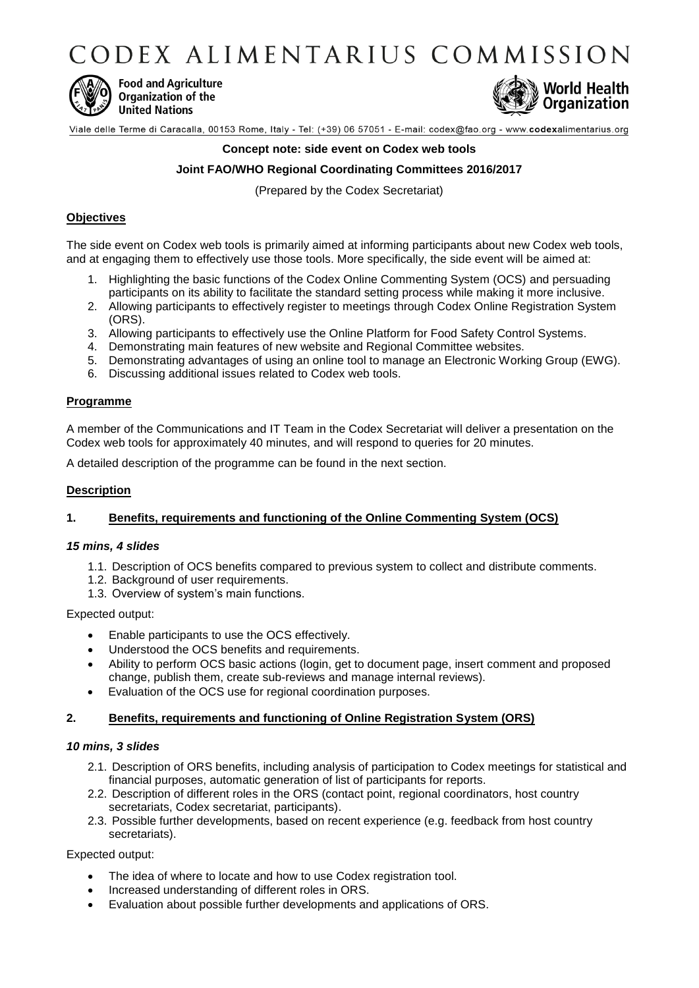CODEX ALIMENTARIUS COMMISSION



**Food and Agriculture** Organization of the **United Nations** 



Viale delle Terme di Caracalla, 00153 Rome, Italy - Tel: (+39) 06 57051 - E-mail: codex@fao.org - www.codexalimentarius.org

#### **Concept note: side event on Codex web tools**

# **Joint FAO/WHO Regional Coordinating Committees 2016/2017**

(Prepared by the Codex Secretariat)

# **Objectives**

The side event on Codex web tools is primarily aimed at informing participants about new Codex web tools, and at engaging them to effectively use those tools. More specifically, the side event will be aimed at:

- 1. Highlighting the basic functions of the Codex Online Commenting System (OCS) and persuading participants on its ability to facilitate the standard setting process while making it more inclusive.
- 2. Allowing participants to effectively register to meetings through Codex Online Registration System (ORS).
- 3. Allowing participants to effectively use the Online Platform for Food Safety Control Systems.
- 4. Demonstrating main features of new website and Regional Committee websites.
- 5. Demonstrating advantages of using an online tool to manage an Electronic Working Group (EWG).
- 6. Discussing additional issues related to Codex web tools.

#### **Programme**

A member of the Communications and IT Team in the Codex Secretariat will deliver a presentation on the Codex web tools for approximately 40 minutes, and will respond to queries for 20 minutes.

A detailed description of the programme can be found in the next section.

#### **Description**

# **1. Benefits, requirements and functioning of the Online Commenting System (OCS)**

#### *15 mins, 4 slides*

- 1.1. Description of OCS benefits compared to previous system to collect and distribute comments.
- 1.2. Background of user requirements.
- 1.3. Overview of system's main functions.

#### Expected output:

- Enable participants to use the OCS effectively.
- Understood the OCS benefits and requirements.
- Ability to perform OCS basic actions (login, get to document page, insert comment and proposed change, publish them, create sub-reviews and manage internal reviews).
- Evaluation of the OCS use for regional coordination purposes.

# **2. Benefits, requirements and functioning of Online Registration System (ORS)**

#### *10 mins, 3 slides*

- 2.1. Description of ORS benefits, including analysis of participation to Codex meetings for statistical and financial purposes, automatic generation of list of participants for reports.
- 2.2. Description of different roles in the ORS (contact point, regional coordinators, host country secretariats, Codex secretariat, participants).
- 2.3. Possible further developments, based on recent experience (e.g. feedback from host country secretariats).

# Expected output:

- The idea of where to locate and how to use Codex registration tool.
- Increased understanding of different roles in ORS.
- Evaluation about possible further developments and applications of ORS.